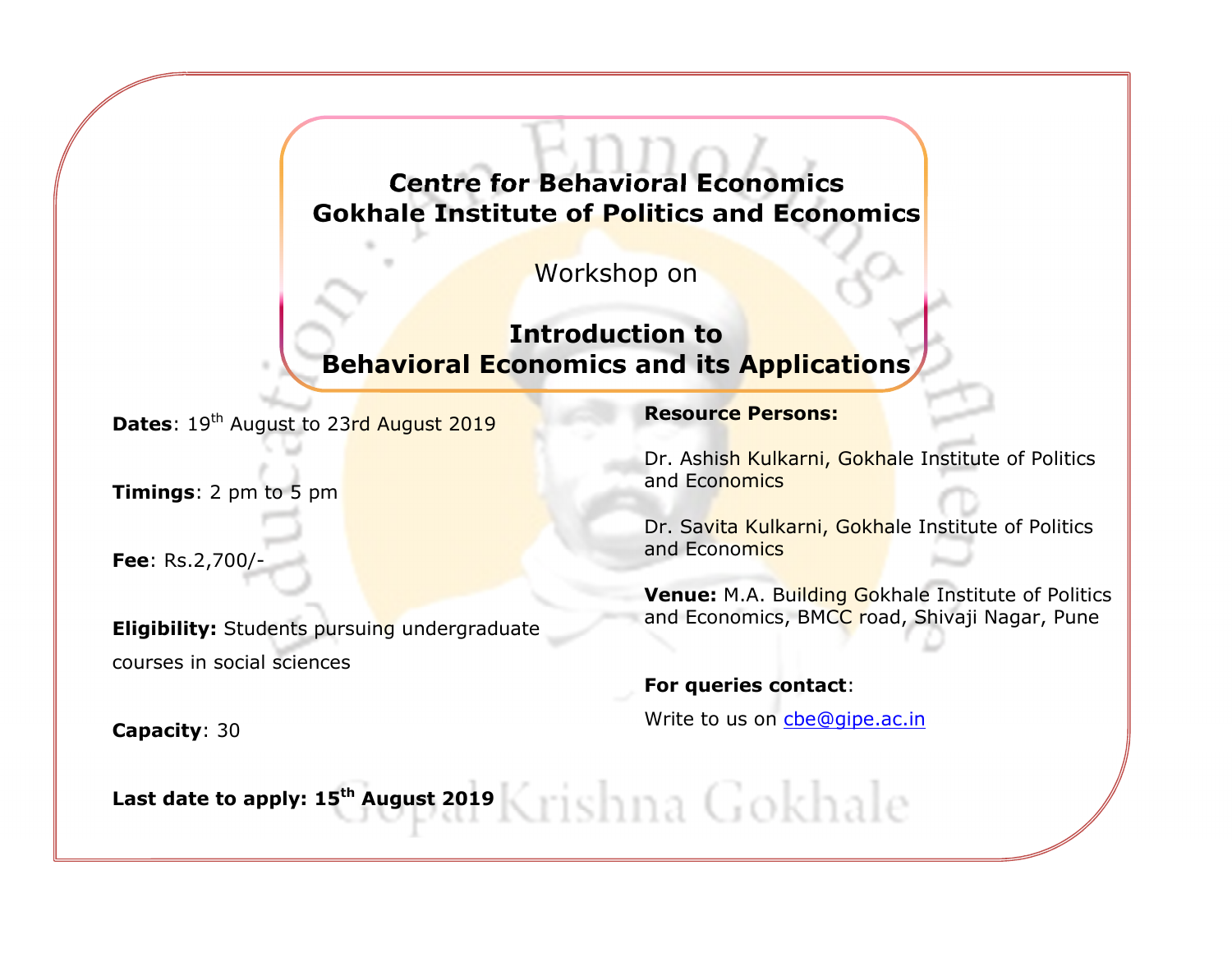# **Centre for Behavioral Economics** Gokhale Institute of Politics and Economics

Workshop on

# Introduction to Beh<mark>avioral Economics and its Applicati</mark>ons,

Dates: 19<sup>th</sup> August to 23rd August 2019

Timings: 2 pm to 5 pm

Fee: Rs.2,700/-

Eligibility: Students pursuing undergraduate courses in social sciences

Capacity: 30

#### Resource Persons:

Dr. Ashish Kulkarni, Gokhale Institute of Politics and Economics

Dr. Savita Kulkarni, Gokhale Institute of Politics and Economics

Venue: M.A. Building Gokhale Institute of Politics and Economics, BMCC road, Shivaji Nagar, Pune

#### For queries contact:

Write to us on cbe@gipe.ac.in

Last date to apply: 15<sup>th</sup> August 2019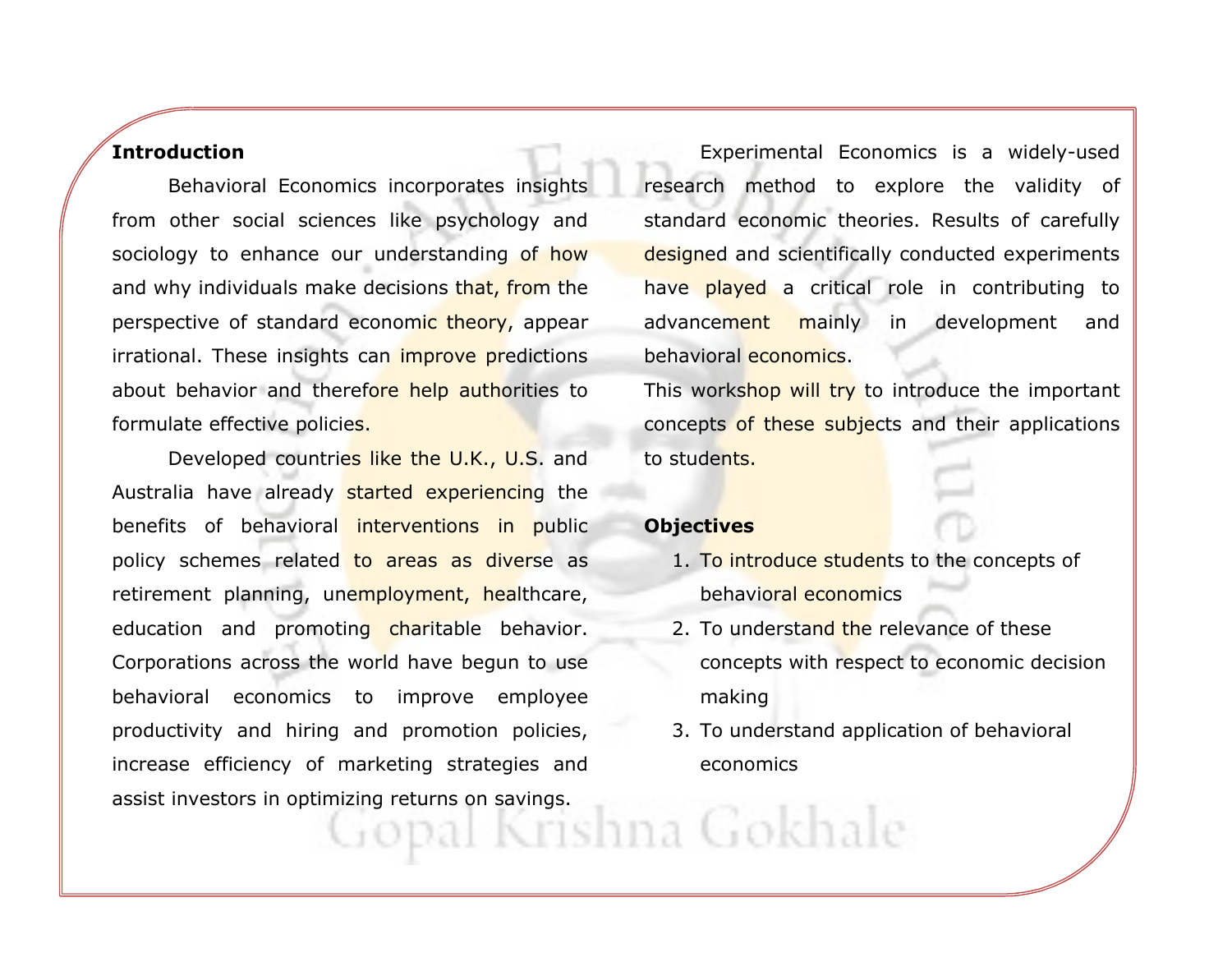#### **Introduction**

Behavioral Economics incorporates insights from other social sciences like psychology and sociology to enhance our understanding of how and why individuals make decisions that, from the perspective of standard economic theory, appear irrational. These insights can *improve predictions* about behavior and therefore help authorities to formulate effective policies.

Developed countries like the U.K., U.S. and Australia have already started experiencing the benefits of behavioral interventions in public policy schemes related to areas as diverse as retirement planning, unemployment, healthcare, education and promoting charitable behavior. Corporations across the world have begun to use behavioral economics to improve employee productivity and hiring and promotion policies, increase efficiency of marketing strategies and assist investors in optimizing returns on savings.

Experimental Economics is a widely-used research method to explore the validity of standard economic theories. Results of carefully designed and scientifically conducted experiments have played a critical role in contributing to advancement mainly in development and behavioral economics.

This workshop will try to introduce the important concepts of these subjects and their applications to students.

#### **Objectives**

- 1. T<mark>o introduce studen</mark>ts to the concepts of behavioral economics
- 2. To understand the relevance of these concepts with respect to economic decision making
- 3. To understand application of behavioral economics

opal Krishna Gokhale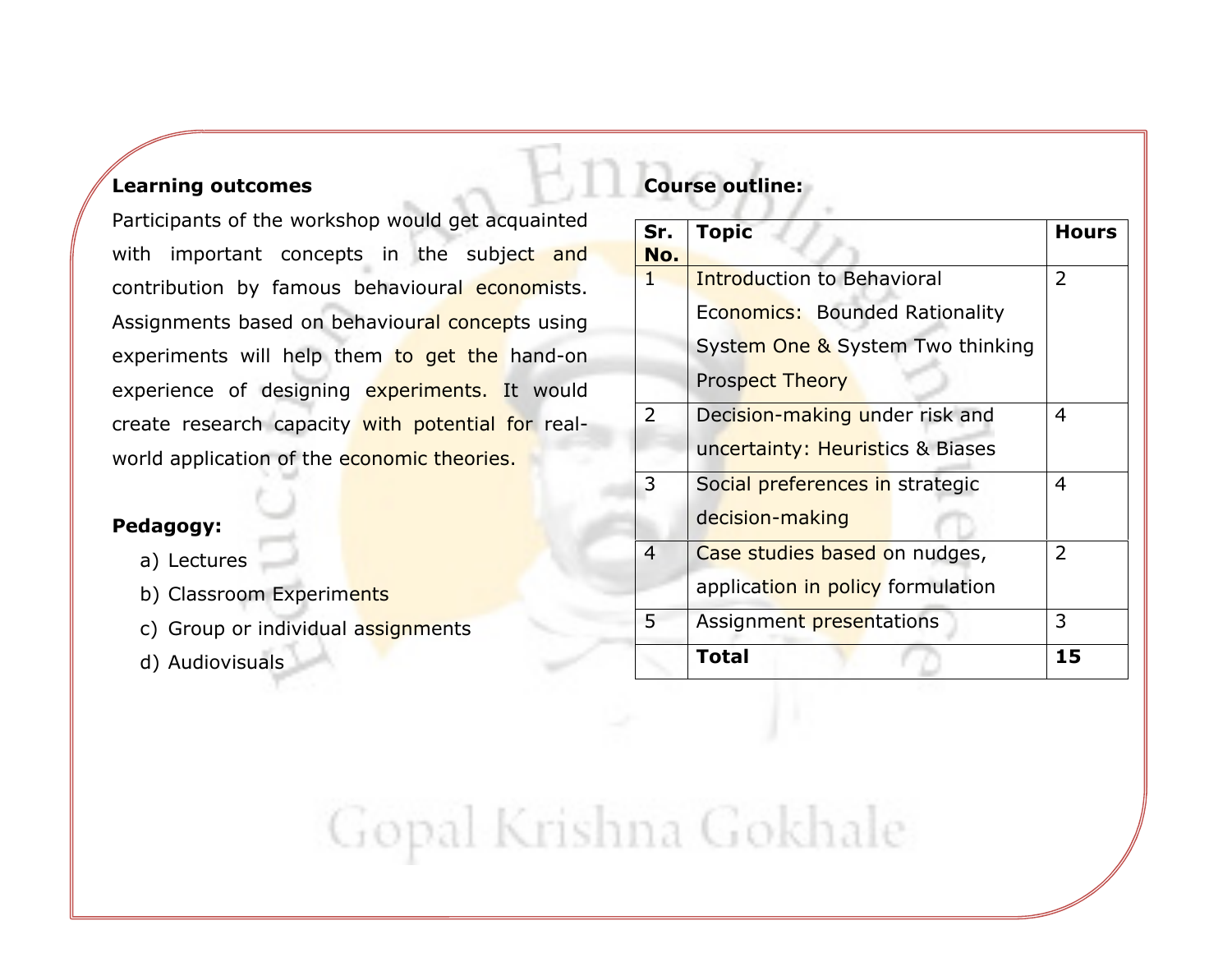#### Learning outcomes

Participants of the workshop would get acquainted with important concepts in the subject and contribution by famous behavioural economists. Assignments based on behavioural concepts using experiments will help them to get the hand-on experience of designing experiments. It would create research capacity with potential for realworld application of the economic theories.

### Pedagogy:

- a) Lectures
- b) Classroom Experim<mark>ents</mark>
- c) Group or individual a<mark>ssignment</mark>s
- d) Audiovisuals

## Course outline:

| Sr.            | <b>Topic</b>                      | <b>Hours</b>   |
|----------------|-----------------------------------|----------------|
| No.<br>1       | <b>Introduction to Behavioral</b> | 2              |
|                | Economics: Bounded Rationality    |                |
|                | System One & System Two thinking  |                |
|                | <b>Prospect Theory</b>            |                |
| $\overline{2}$ | Decision-making under risk and    | 4              |
|                | uncertainty: Heuristics & Biases  |                |
| 3              | Social preferences in strategic   | 4              |
|                | decision-making                   |                |
| $\overline{4}$ | Case studies based on nudges,     | $\overline{2}$ |
|                | application in policy formulation |                |
| 5              | Assignment presentations          | 3              |
|                | <b>Total</b>                      | 15             |

Gopal Krishna Gokhale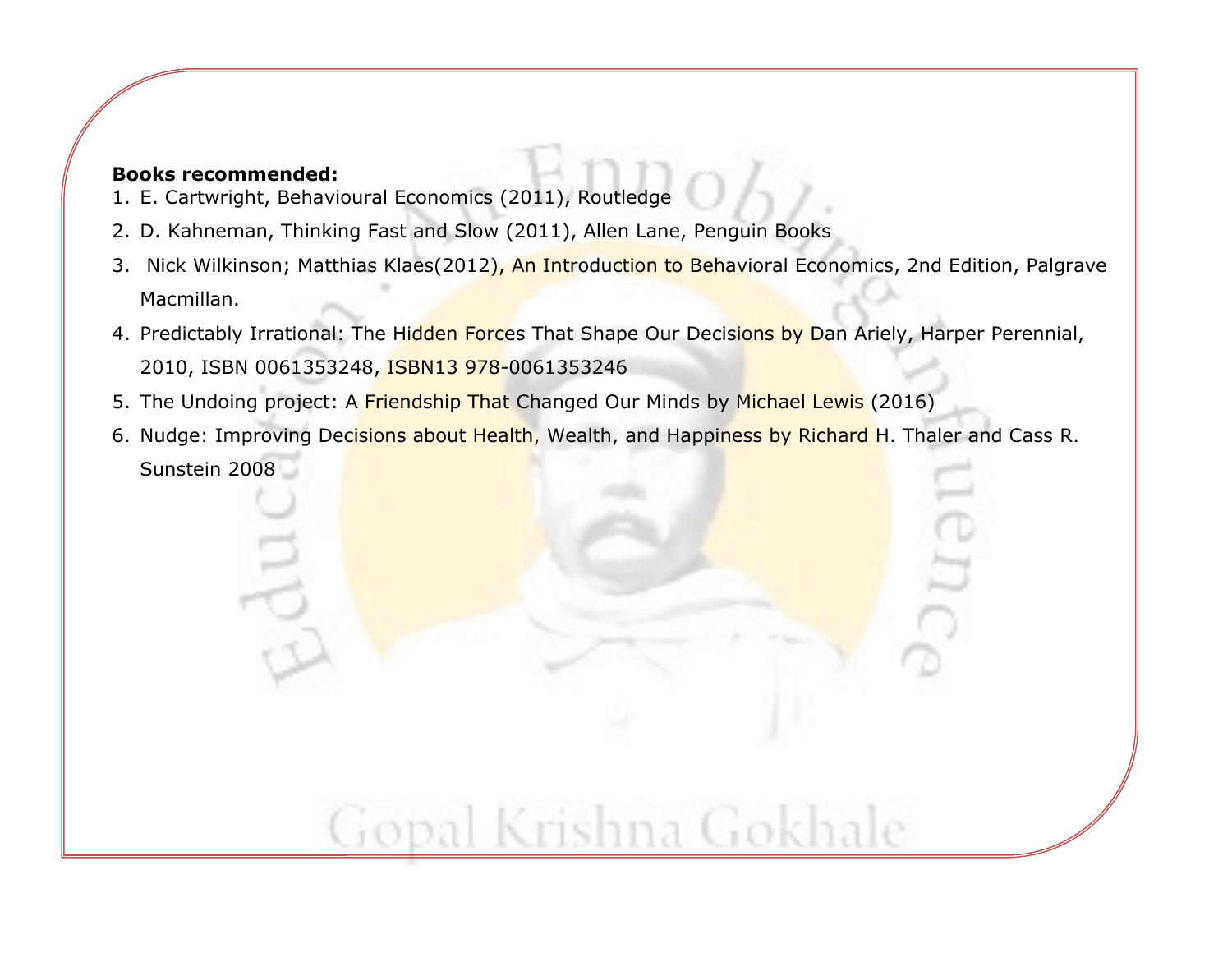#### Books recommended:

- 1. E. Cartwright, Behavioural Economics (2011), Routledge
- 2. D. Kahneman, Thinking Fast and Slow (2011), Allen Lane, Penguin Books
- 3. Nick Wilkinson; Matthias Klaes(2012), An Introduction to Behavioral Economics, 2nd Edition, Palgrave Macmillan.
- 4. Predictably Irrational: The H<mark>idden Force</mark>s That Shape Our Decis<mark>ions by D</mark>an Ariely, Harper Perennial, 2010, ISBN 0061353248, ISBN13 978-0061353246
- 5. The Undoing project: A <mark>Friendship That C</mark>hanged Our Minds by <mark>Michael Lewis</mark> (2016)
- 6. Nudge: Improving Dec<mark>isions about Health,</mark> Wealth, and Happi<mark>ness by Richard H</mark>. Thaler and Cass R. Sunstein 2008

Gopal Krishna Gokhale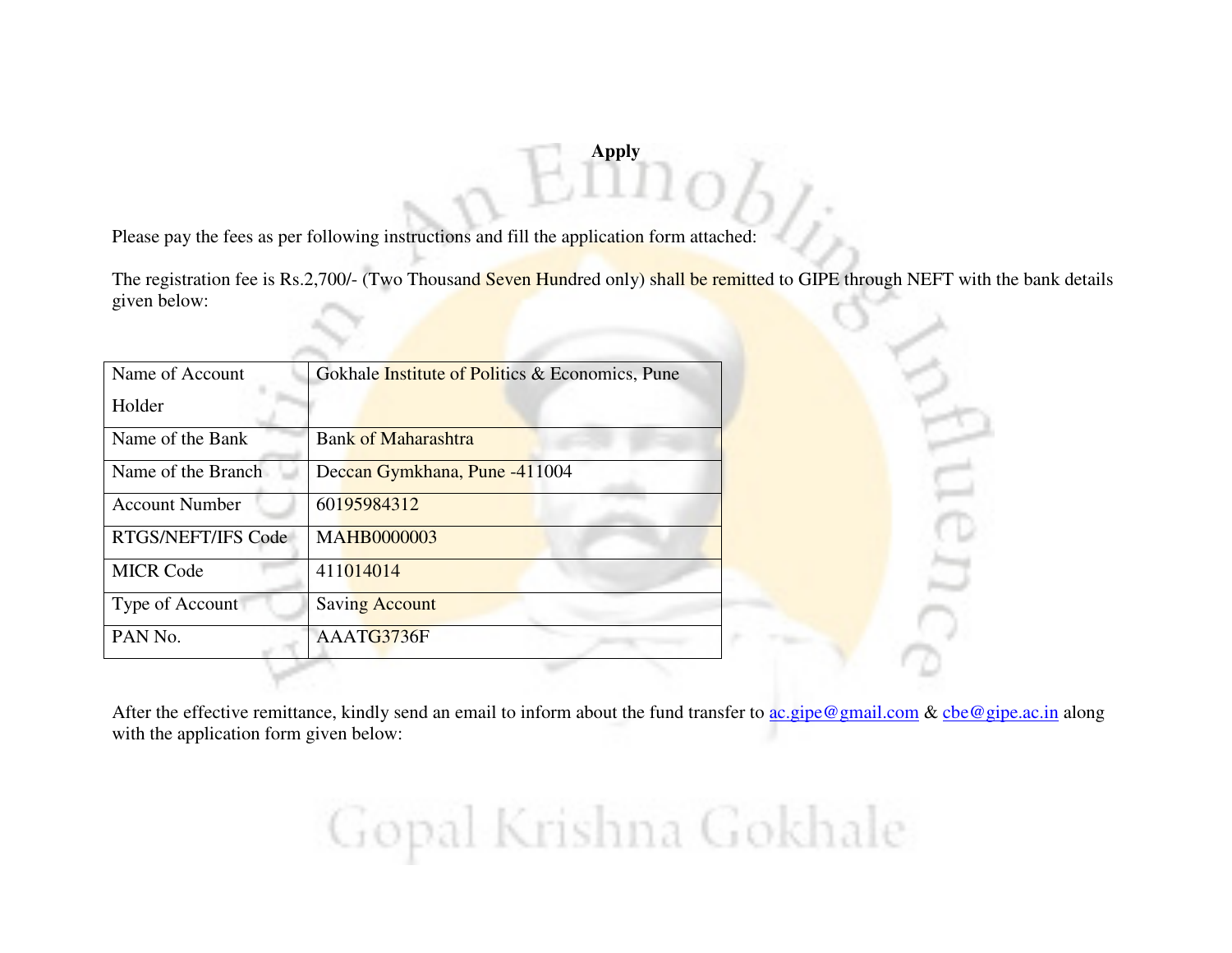#### **Apply**

Please pay the fees as per following instructions and fill the application form attached:

The registration fee is Rs.2,700/- (Two Thousand Seven Hundred only) shall be remitted to GIPE through NEFT with the bank details given below:

| Name of Account       | Gokhale <i>Institute</i> of <i>Politics &amp; Economics</i> , Pune |  |
|-----------------------|--------------------------------------------------------------------|--|
| Holder                |                                                                    |  |
| Name of the Bank      | <b>Bank of Maharashtra</b>                                         |  |
| Name of the Branch    | Deccan Gymkhana, Pune -411004                                      |  |
| <b>Account Number</b> | 60195984312                                                        |  |
| RTGS/NEFT/IFS Code    | <b>MAHB0000003</b>                                                 |  |
| <b>MICR Code</b>      | 411014014                                                          |  |
| Type of Account       | <b>Saving Account</b>                                              |  |
| PAN No.               | AAATG3736F                                                         |  |



After the effective remittance, kindly send an email to inform about the fund transfer to ac.gipe@gmail.com & cbe@gipe.ac.in along with the application form given below:

Gopal Krishna Gokhale